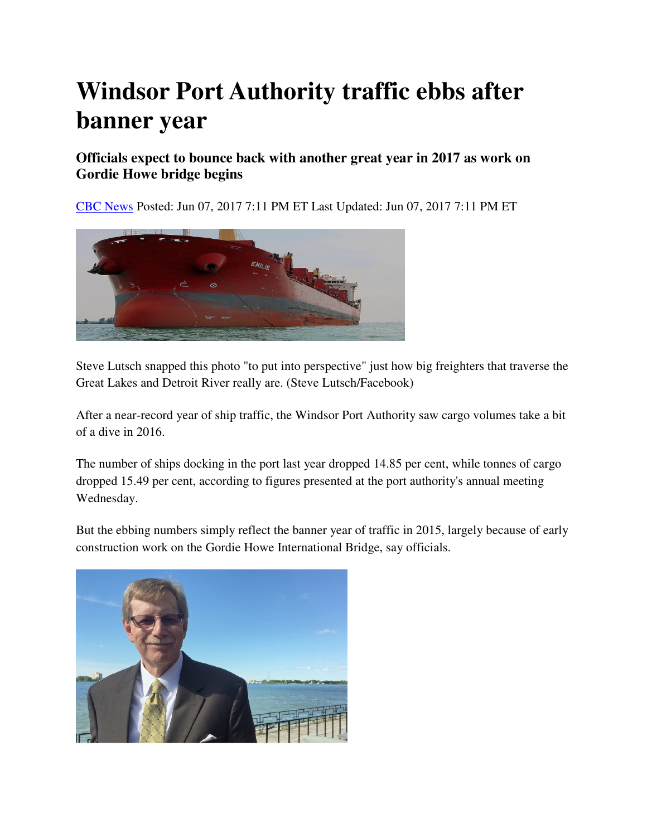## **Windsor Port Authority traffic ebbs after banner year**

## **Officials expect to bounce back with another great year in 2017 as work on Gordie Howe bridge begins**

CBC News Posted: Jun 07, 2017 7:11 PM ET Last Updated: Jun 07, 2017 7:11 PM ET



Steve Lutsch snapped this photo "to put into perspective" just how big freighters that traverse the Great Lakes and Detroit River really are. (Steve Lutsch/Facebook)

After a near-record year of ship traffic, the Windsor Port Authority saw cargo volumes take a bit of a dive in 2016.

The number of ships docking in the port last year dropped 14.85 per cent, while tonnes of cargo dropped 15.49 per cent, according to figures presented at the port authority's annual meeting Wednesday.

But the ebbing numbers simply reflect the banner year of traffic in 2015, largely because of early construction work on the Gordie Howe International Bridge, say officials.